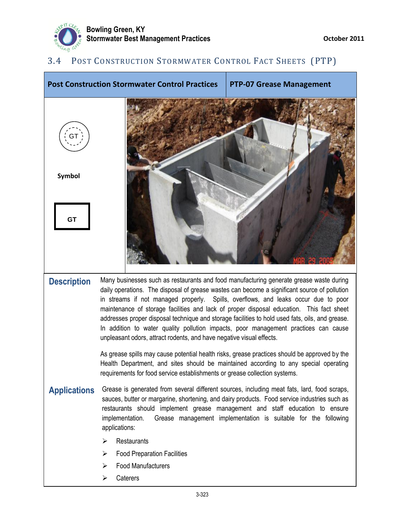

## 3.4 POST CONSTRUCTION STORMWATER CONTROL FACT SHEETS (PTP)

| <b>Post Construction Stormwater Control Practices</b> |                                                                                                                                                                                                                                                                                                                                                                                                                                                                                                                                                                                                                                             | <b>PTP-07 Grease Management</b>                                |
|-------------------------------------------------------|---------------------------------------------------------------------------------------------------------------------------------------------------------------------------------------------------------------------------------------------------------------------------------------------------------------------------------------------------------------------------------------------------------------------------------------------------------------------------------------------------------------------------------------------------------------------------------------------------------------------------------------------|----------------------------------------------------------------|
| <b>Symbol</b><br>GT                                   |                                                                                                                                                                                                                                                                                                                                                                                                                                                                                                                                                                                                                                             |                                                                |
| <b>Description</b>                                    | Many businesses such as restaurants and food manufacturing generate grease waste during<br>daily operations. The disposal of grease wastes can become a significant source of pollution<br>in streams if not managed properly. Spills, overflows, and leaks occur due to poor<br>maintenance of storage facilities and lack of proper disposal education. This fact sheet<br>addresses proper disposal technique and storage facilities to hold used fats, oils, and grease.<br>In addition to water quality pollution impacts, poor management practices can cause<br>unpleasant odors, attract rodents, and have negative visual effects. |                                                                |
|                                                       | As grease spills may cause potential health risks, grease practices should be approved by the<br>Health Department, and sites should be maintained according to any special operating<br>requirements for food service establishments or grease collection systems.                                                                                                                                                                                                                                                                                                                                                                         |                                                                |
| <b>Applications</b>                                   | Grease is generated from several different sources, including meat fats, lard, food scraps,<br>sauces, butter or margarine, shortening, and dairy products. Food service industries such as<br>restaurants should implement grease management and staff education to ensure<br>implementation.<br>applications:                                                                                                                                                                                                                                                                                                                             | Grease management implementation is suitable for the following |
|                                                       | Restaurants<br>⋗                                                                                                                                                                                                                                                                                                                                                                                                                                                                                                                                                                                                                            |                                                                |
|                                                       | <b>Food Preparation Facilities</b><br>⋗                                                                                                                                                                                                                                                                                                                                                                                                                                                                                                                                                                                                     |                                                                |
|                                                       | <b>Food Manufacturers</b><br>➤<br>Caterers<br>➤                                                                                                                                                                                                                                                                                                                                                                                                                                                                                                                                                                                             |                                                                |
|                                                       |                                                                                                                                                                                                                                                                                                                                                                                                                                                                                                                                                                                                                                             |                                                                |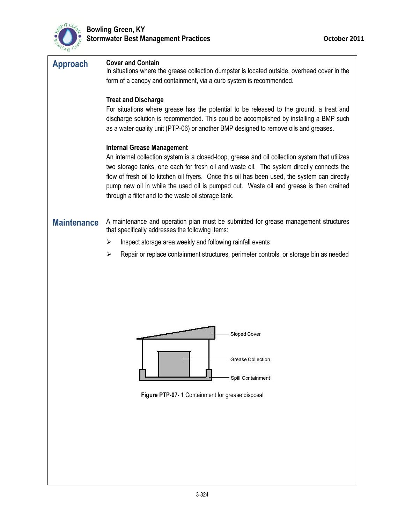

| ring a             |                                                                                                                                                                                                                                                                                                                                                                                                                                                                                                                                                                                                                                                                                                                                                                                                                                                                                                                                                                                                  |  |
|--------------------|--------------------------------------------------------------------------------------------------------------------------------------------------------------------------------------------------------------------------------------------------------------------------------------------------------------------------------------------------------------------------------------------------------------------------------------------------------------------------------------------------------------------------------------------------------------------------------------------------------------------------------------------------------------------------------------------------------------------------------------------------------------------------------------------------------------------------------------------------------------------------------------------------------------------------------------------------------------------------------------------------|--|
| <b>Approach</b>    | <b>Cover and Contain</b><br>In situations where the grease collection dumpster is located outside, overhead cover in the<br>form of a canopy and containment, via a curb system is recommended.<br><b>Treat and Discharge</b><br>For situations where grease has the potential to be released to the ground, a treat and<br>discharge solution is recommended. This could be accomplished by installing a BMP such<br>as a water quality unit (PTP-06) or another BMP designed to remove oils and greases.<br><b>Internal Grease Management</b><br>An internal collection system is a closed-loop, grease and oil collection system that utilizes<br>two storage tanks, one each for fresh oil and waste oil. The system directly connects the<br>flow of fresh oil to kitchen oil fryers. Once this oil has been used, the system can directly<br>pump new oil in while the used oil is pumped out. Waste oil and grease is then drained<br>through a filter and to the waste oil storage tank. |  |
|                    |                                                                                                                                                                                                                                                                                                                                                                                                                                                                                                                                                                                                                                                                                                                                                                                                                                                                                                                                                                                                  |  |
|                    |                                                                                                                                                                                                                                                                                                                                                                                                                                                                                                                                                                                                                                                                                                                                                                                                                                                                                                                                                                                                  |  |
| <b>Maintenance</b> | A maintenance and operation plan must be submitted for grease management structures<br>that specifically addresses the following items:                                                                                                                                                                                                                                                                                                                                                                                                                                                                                                                                                                                                                                                                                                                                                                                                                                                          |  |
|                    | Inspect storage area weekly and following rainfall events<br>➤                                                                                                                                                                                                                                                                                                                                                                                                                                                                                                                                                                                                                                                                                                                                                                                                                                                                                                                                   |  |
|                    | Repair or replace containment structures, perimeter controls, or storage bin as needed<br>➤                                                                                                                                                                                                                                                                                                                                                                                                                                                                                                                                                                                                                                                                                                                                                                                                                                                                                                      |  |
|                    |                                                                                                                                                                                                                                                                                                                                                                                                                                                                                                                                                                                                                                                                                                                                                                                                                                                                                                                                                                                                  |  |
|                    | <b>Sloped Cover</b>                                                                                                                                                                                                                                                                                                                                                                                                                                                                                                                                                                                                                                                                                                                                                                                                                                                                                                                                                                              |  |
|                    | <b>Grease Collection</b><br>Spill Containment                                                                                                                                                                                                                                                                                                                                                                                                                                                                                                                                                                                                                                                                                                                                                                                                                                                                                                                                                    |  |
|                    | Figure PTP-07-1 Containment for grease disposal                                                                                                                                                                                                                                                                                                                                                                                                                                                                                                                                                                                                                                                                                                                                                                                                                                                                                                                                                  |  |